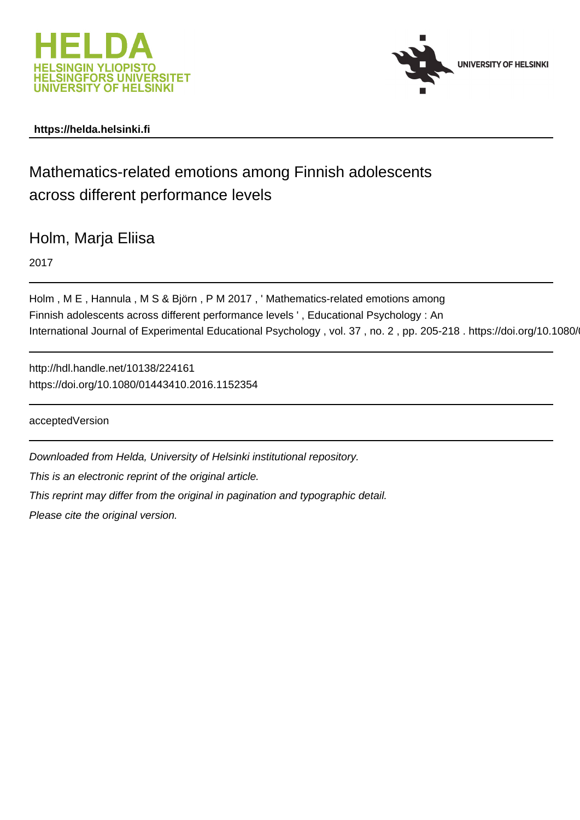



# **https://helda.helsinki.fi**

# Mathematics-related emotions among Finnish adolescents across different performance levels

Holm, Marja Eliisa

2017

Holm , M E , Hannula , M S & Björn , P M 2017 , ' Mathematics-related emotions among Finnish adolescents across different performance levels ' , Educational Psychology : An International Journal of Experimental Educational Psychology, vol. 37, no. 2, pp. 205-218. https://doi.org/10.1080/

http://hdl.handle.net/10138/224161 https://doi.org/10.1080/01443410.2016.1152354

acceptedVersion

Downloaded from Helda, University of Helsinki institutional repository. This is an electronic reprint of the original article. This reprint may differ from the original in pagination and typographic detail. Please cite the original version.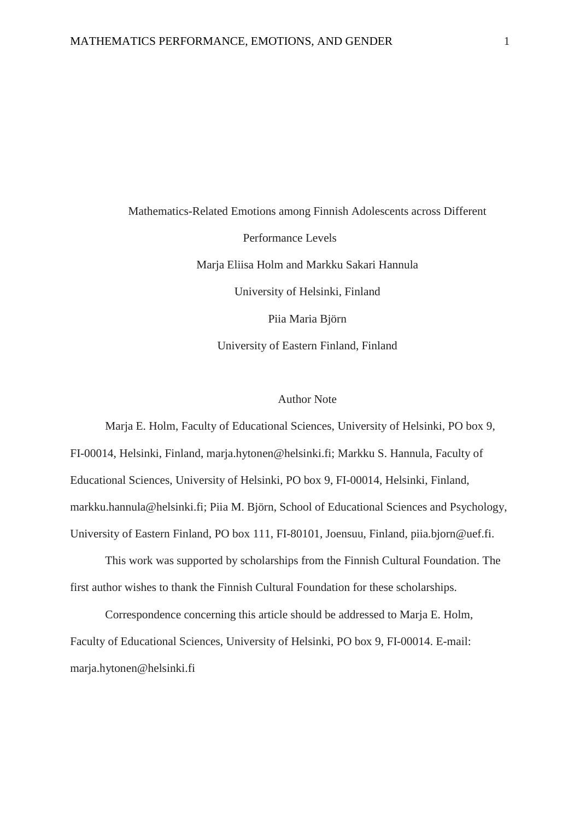Mathematics-Related Emotions among Finnish Adolescents across Different Performance Levels Marja Eliisa Holm and Markku Sakari Hannula University of Helsinki, Finland Piia Maria Björn University of Eastern Finland, Finland

## Author Note

Marja E. Holm, Faculty of Educational Sciences, University of Helsinki, PO box 9, FI-00014, Helsinki, Finland, marja.hytonen@helsinki.fi; Markku S. Hannula, Faculty of Educational Sciences, University of Helsinki, PO box 9, FI-00014, Helsinki, Finland, markku.hannula@helsinki.fi; Piia M. Björn, School of Educational Sciences and Psychology, University of Eastern Finland, PO box 111, FI-80101, Joensuu, Finland, piia.bjorn@uef.fi.

This work was supported by scholarships from the Finnish Cultural Foundation. The first author wishes to thank the Finnish Cultural Foundation for these scholarships.

Correspondence concerning this article should be addressed to Marja E. Holm, Faculty of Educational Sciences, University of Helsinki, PO box 9, FI-00014. E-mail: marja.hytonen@helsinki.fi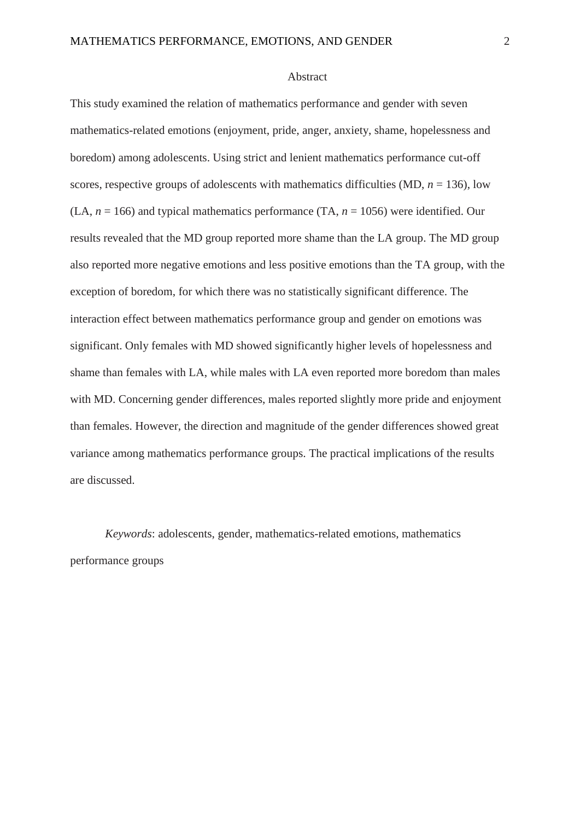#### Abstract

This study examined the relation of mathematics performance and gender with seven mathematics-related emotions (enjoyment, pride, anger, anxiety, shame, hopelessness and boredom) among adolescents. Using strict and lenient mathematics performance cut-off scores, respective groups of adolescents with mathematics difficulties (MD,  $n = 136$ ), low  $(LA, n = 166)$  and typical mathematics performance  $(TA, n = 1056)$  were identified. Our results revealed that the MD group reported more shame than the LA group. The MD group also reported more negative emotions and less positive emotions than the TA group, with the exception of boredom, for which there was no statistically significant difference. The interaction effect between mathematics performance group and gender on emotions was significant. Only females with MD showed significantly higher levels of hopelessness and shame than females with LA, while males with LA even reported more boredom than males with MD. Concerning gender differences, males reported slightly more pride and enjoyment than females. However, the direction and magnitude of the gender differences showed great variance among mathematics performance groups. The practical implications of the results are discussed.

*Keywords*: adolescents, gender, mathematics-related emotions, mathematics performance groups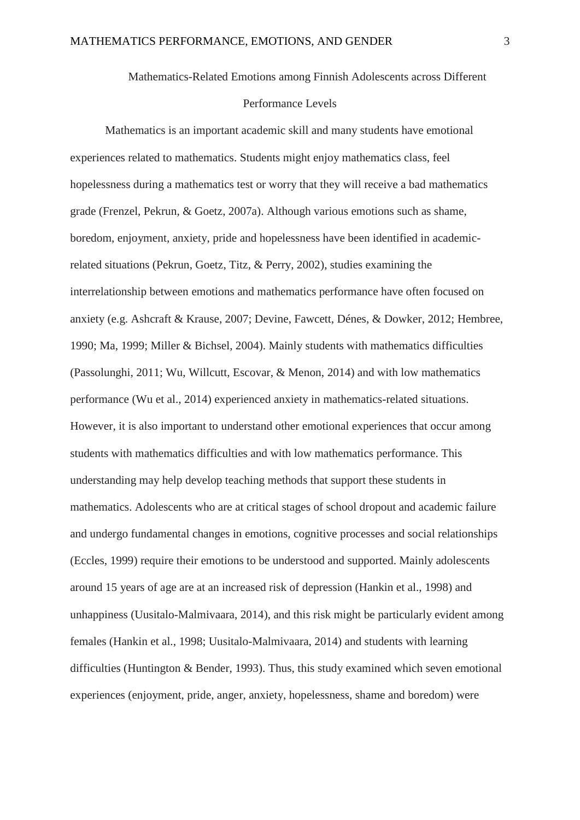## Mathematics-Related Emotions among Finnish Adolescents across Different

# Performance Levels

Mathematics is an important academic skill and many students have emotional experiences related to mathematics. Students might enjoy mathematics class, feel hopelessness during a mathematics test or worry that they will receive a bad mathematics grade (Frenzel, Pekrun, & Goetz, 2007a). Although various emotions such as shame, boredom, enjoyment, anxiety, pride and hopelessness have been identified in academicrelated situations (Pekrun, Goetz, Titz, & Perry, 2002), studies examining the interrelationship between emotions and mathematics performance have often focused on anxiety (e.g. Ashcraft & Krause, 2007; Devine, Fawcett, Dénes, & Dowker, 2012; Hembree, 1990; Ma, 1999; Miller & Bichsel, 2004). Mainly students with mathematics difficulties (Passolunghi, 2011; Wu, Willcutt, Escovar, & Menon, 2014) and with low mathematics performance (Wu et al., 2014) experienced anxiety in mathematics-related situations. However, it is also important to understand other emotional experiences that occur among students with mathematics difficulties and with low mathematics performance. This understanding may help develop teaching methods that support these students in mathematics. Adolescents who are at critical stages of school dropout and academic failure and undergo fundamental changes in emotions, cognitive processes and social relationships (Eccles, 1999) require their emotions to be understood and supported. Mainly adolescents around 15 years of age are at an increased risk of depression (Hankin et al., 1998) and unhappiness (Uusitalo-Malmivaara, 2014), and this risk might be particularly evident among females (Hankin et al., 1998; Uusitalo-Malmivaara, 2014) and students with learning difficulties (Huntington & Bender, 1993). Thus, this study examined which seven emotional experiences (enjoyment, pride, anger, anxiety, hopelessness, shame and boredom) were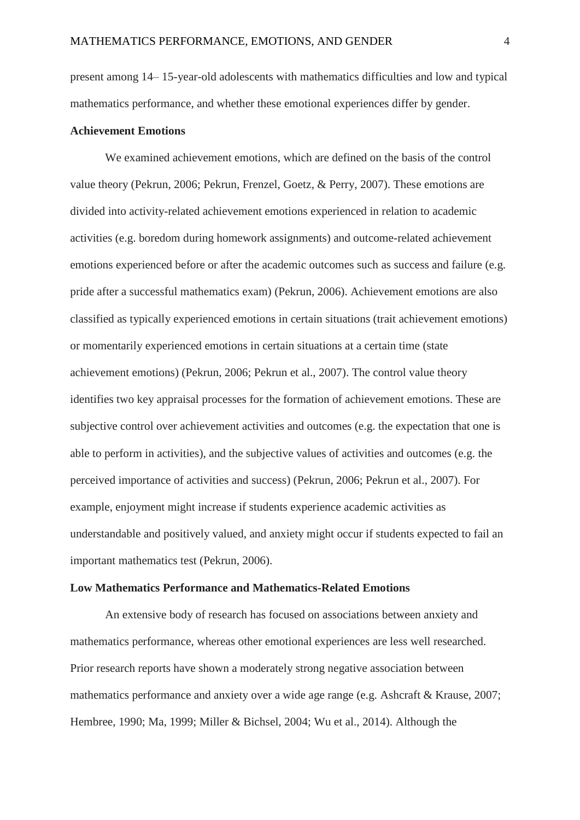present among 14– 15-year-old adolescents with mathematics difficulties and low and typical mathematics performance, and whether these emotional experiences differ by gender.

## **Achievement Emotions**

We examined achievement emotions, which are defined on the basis of the control value theory (Pekrun, 2006; Pekrun, Frenzel, Goetz, & Perry, 2007). These emotions are divided into activity-related achievement emotions experienced in relation to academic activities (e.g. boredom during homework assignments) and outcome-related achievement emotions experienced before or after the academic outcomes such as success and failure (e.g. pride after a successful mathematics exam) (Pekrun, 2006). Achievement emotions are also classified as typically experienced emotions in certain situations (trait achievement emotions) or momentarily experienced emotions in certain situations at a certain time (state achievement emotions) (Pekrun, 2006; Pekrun et al., 2007). The control value theory identifies two key appraisal processes for the formation of achievement emotions. These are subjective control over achievement activities and outcomes (e.g. the expectation that one is able to perform in activities), and the subjective values of activities and outcomes (e.g. the perceived importance of activities and success) (Pekrun, 2006; Pekrun et al., 2007). For example, enjoyment might increase if students experience academic activities as understandable and positively valued, and anxiety might occur if students expected to fail an important mathematics test (Pekrun, 2006).

#### **Low Mathematics Performance and Mathematics-Related Emotions**

An extensive body of research has focused on associations between anxiety and mathematics performance, whereas other emotional experiences are less well researched. Prior research reports have shown a moderately strong negative association between mathematics performance and anxiety over a wide age range (e.g. Ashcraft & Krause, 2007; Hembree, 1990; Ma, 1999; Miller & Bichsel, 2004; Wu et al., 2014). Although the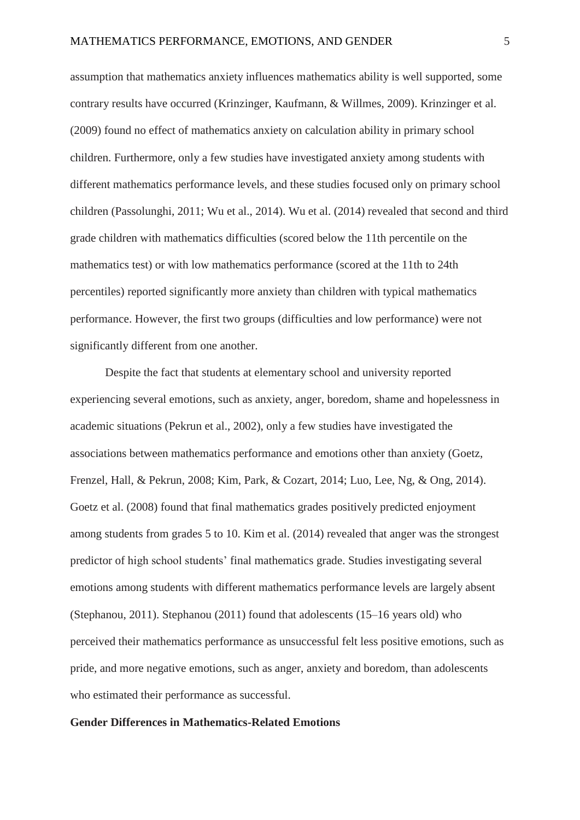assumption that mathematics anxiety influences mathematics ability is well supported, some contrary results have occurred (Krinzinger, Kaufmann, & Willmes, 2009). Krinzinger et al. (2009) found no effect of mathematics anxiety on calculation ability in primary school children. Furthermore, only a few studies have investigated anxiety among students with different mathematics performance levels, and these studies focused only on primary school children (Passolunghi, 2011; Wu et al., 2014). Wu et al. (2014) revealed that second and third grade children with mathematics difficulties (scored below the 11th percentile on the mathematics test) or with low mathematics performance (scored at the 11th to 24th percentiles) reported significantly more anxiety than children with typical mathematics performance. However, the first two groups (difficulties and low performance) were not significantly different from one another.

Despite the fact that students at elementary school and university reported experiencing several emotions, such as anxiety, anger, boredom, shame and hopelessness in academic situations (Pekrun et al., 2002), only a few studies have investigated the associations between mathematics performance and emotions other than anxiety (Goetz, Frenzel, Hall, & Pekrun, 2008; Kim, Park, & Cozart, 2014; Luo, Lee, Ng, & Ong, 2014). Goetz et al. (2008) found that final mathematics grades positively predicted enjoyment among students from grades 5 to 10. Kim et al. (2014) revealed that anger was the strongest predictor of high school students' final mathematics grade. Studies investigating several emotions among students with different mathematics performance levels are largely absent (Stephanou, 2011). Stephanou (2011) found that adolescents (15–16 years old) who perceived their mathematics performance as unsuccessful felt less positive emotions, such as pride, and more negative emotions, such as anger, anxiety and boredom, than adolescents who estimated their performance as successful.

## **Gender Differences in Mathematics-Related Emotions**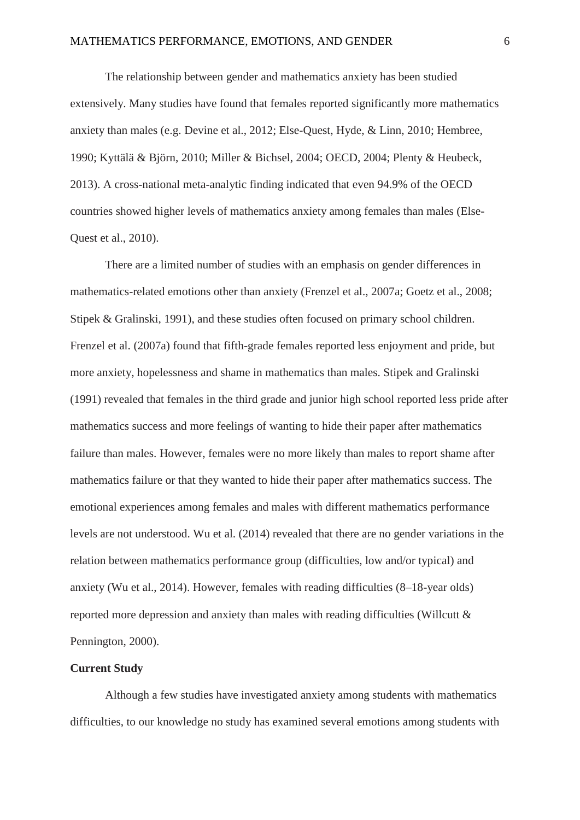The relationship between gender and mathematics anxiety has been studied extensively. Many studies have found that females reported significantly more mathematics anxiety than males (e.g. Devine et al., 2012; Else-Quest, Hyde, & Linn, 2010; Hembree, 1990; Kyttälä & Björn, 2010; Miller & Bichsel, 2004; OECD, 2004; Plenty & Heubeck, 2013). A cross-national meta-analytic finding indicated that even 94.9% of the OECD countries showed higher levels of mathematics anxiety among females than males (Else-Quest et al., 2010).

There are a limited number of studies with an emphasis on gender differences in mathematics-related emotions other than anxiety (Frenzel et al., 2007a; Goetz et al., 2008; Stipek & Gralinski, 1991), and these studies often focused on primary school children. Frenzel et al. (2007a) found that fifth-grade females reported less enjoyment and pride, but more anxiety, hopelessness and shame in mathematics than males. Stipek and Gralinski (1991) revealed that females in the third grade and junior high school reported less pride after mathematics success and more feelings of wanting to hide their paper after mathematics failure than males. However, females were no more likely than males to report shame after mathematics failure or that they wanted to hide their paper after mathematics success. The emotional experiences among females and males with different mathematics performance levels are not understood. Wu et al. (2014) revealed that there are no gender variations in the relation between mathematics performance group (difficulties, low and/or typical) and anxiety (Wu et al., 2014). However, females with reading difficulties (8–18-year olds) reported more depression and anxiety than males with reading difficulties (Willcutt & Pennington, 2000).

# **Current Study**

Although a few studies have investigated anxiety among students with mathematics difficulties, to our knowledge no study has examined several emotions among students with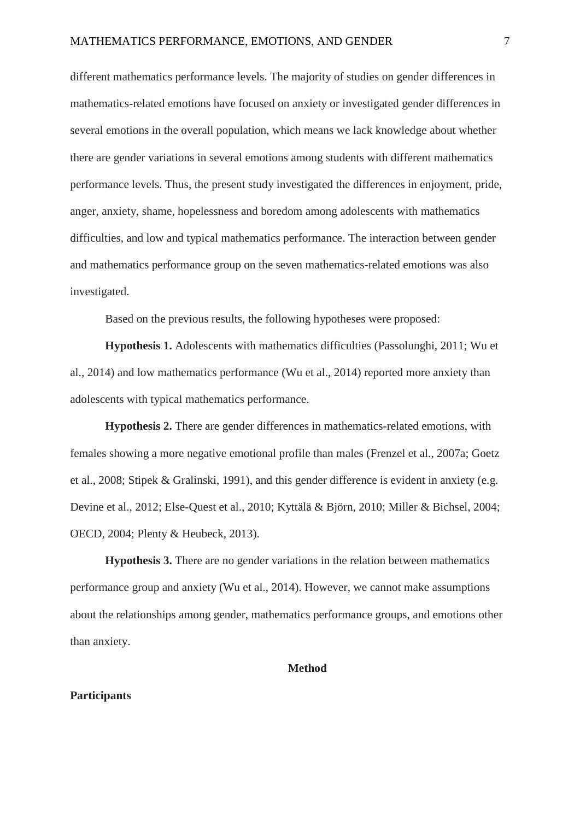different mathematics performance levels. The majority of studies on gender differences in mathematics-related emotions have focused on anxiety or investigated gender differences in several emotions in the overall population, which means we lack knowledge about whether there are gender variations in several emotions among students with different mathematics performance levels. Thus, the present study investigated the differences in enjoyment, pride, anger, anxiety, shame, hopelessness and boredom among adolescents with mathematics difficulties, and low and typical mathematics performance. The interaction between gender and mathematics performance group on the seven mathematics-related emotions was also investigated.

Based on the previous results, the following hypotheses were proposed:

**Hypothesis 1.** Adolescents with mathematics difficulties (Passolunghi, 2011; Wu et al., 2014) and low mathematics performance (Wu et al., 2014) reported more anxiety than adolescents with typical mathematics performance.

**Hypothesis 2.** There are gender differences in mathematics-related emotions, with females showing a more negative emotional profile than males (Frenzel et al., 2007a; Goetz et al., 2008; Stipek & Gralinski, 1991), and this gender difference is evident in anxiety (e.g. Devine et al., 2012; Else-Quest et al., 2010; Kyttälä & Björn, 2010; Miller & Bichsel, 2004; OECD, 2004; Plenty & Heubeck, 2013).

**Hypothesis 3.** There are no gender variations in the relation between mathematics performance group and anxiety (Wu et al., 2014). However, we cannot make assumptions about the relationships among gender, mathematics performance groups, and emotions other than anxiety.

#### **Method**

#### **Participants**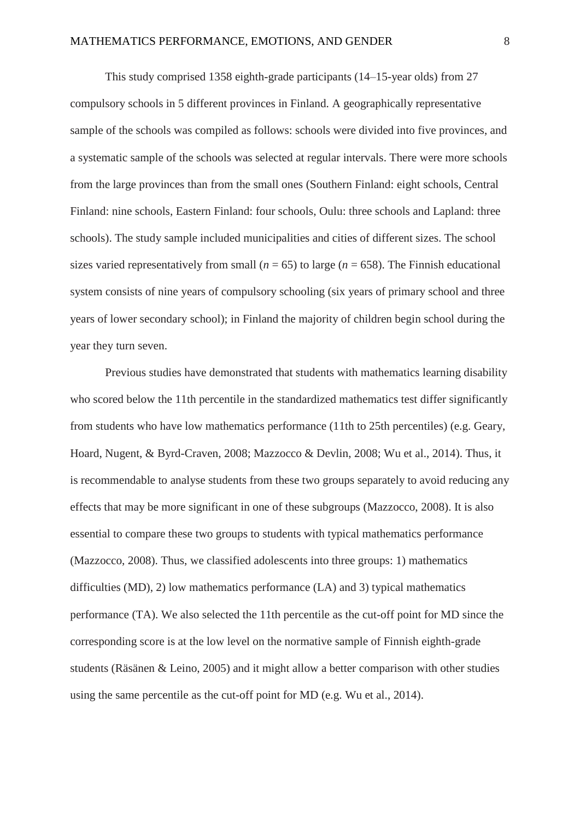This study comprised 1358 eighth-grade participants (14–15-year olds) from 27 compulsory schools in 5 different provinces in Finland. A geographically representative sample of the schools was compiled as follows: schools were divided into five provinces, and a systematic sample of the schools was selected at regular intervals. There were more schools from the large provinces than from the small ones (Southern Finland: eight schools, Central Finland: nine schools, Eastern Finland: four schools, Oulu: three schools and Lapland: three schools). The study sample included municipalities and cities of different sizes. The school sizes varied representatively from small ( $n = 65$ ) to large ( $n = 658$ ). The Finnish educational system consists of nine years of compulsory schooling (six years of primary school and three years of lower secondary school); in Finland the majority of children begin school during the year they turn seven.

Previous studies have demonstrated that students with mathematics learning disability who scored below the 11th percentile in the standardized mathematics test differ significantly from students who have low mathematics performance (11th to 25th percentiles) (e.g. Geary, Hoard, Nugent, & Byrd-Craven, 2008; Mazzocco & Devlin, 2008; Wu et al., 2014). Thus, it is recommendable to analyse students from these two groups separately to avoid reducing any effects that may be more significant in one of these subgroups (Mazzocco, 2008). It is also essential to compare these two groups to students with typical mathematics performance (Mazzocco, 2008). Thus, we classified adolescents into three groups: 1) mathematics difficulties (MD), 2) low mathematics performance (LA) and 3) typical mathematics performance (TA). We also selected the 11th percentile as the cut-off point for MD since the corresponding score is at the low level on the normative sample of Finnish eighth-grade students (Räsänen & Leino, 2005) and it might allow a better comparison with other studies using the same percentile as the cut-off point for MD (e.g. Wu et al., 2014).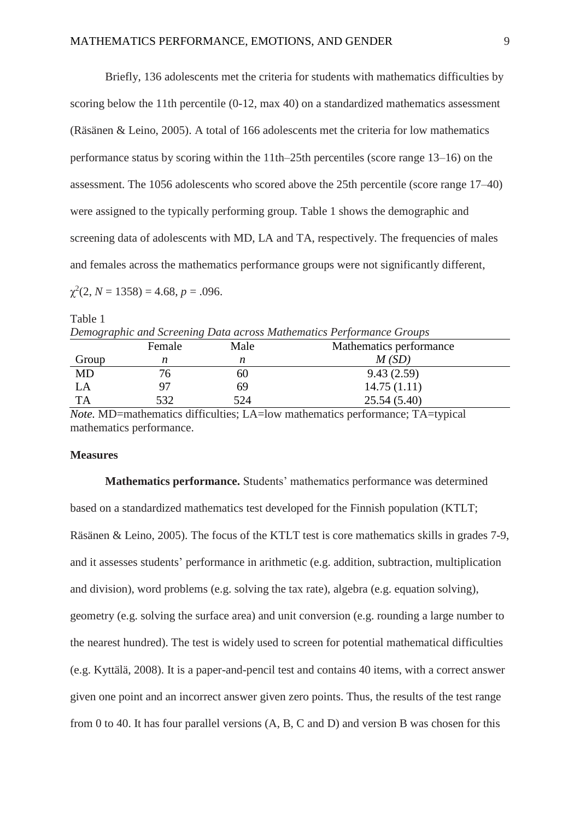Briefly, 136 adolescents met the criteria for students with mathematics difficulties by scoring below the 11th percentile (0-12, max 40) on a standardized mathematics assessment (Räsänen & Leino, 2005). A total of 166 adolescents met the criteria for low mathematics performance status by scoring within the 11th–25th percentiles (score range 13–16) on the assessment. The 1056 adolescents who scored above the 25th percentile (score range 17–40) were assigned to the typically performing group. Table 1 shows the demographic and screening data of adolescents with MD, LA and TA, respectively. The frequencies of males and females across the mathematics performance groups were not significantly different,

 $\chi^2(2, N = 1358) = 4.68, p = .096.$ 

Table 1 *Demographic and Screening Data across Mathematics Performance Groups*

|           | Female | Male | Mathematics performance |
|-----------|--------|------|-------------------------|
| Group     |        | n    | M(SD)                   |
| MD        | 'O     | OU   | 9.43(2.59)              |
| LA        | 97     | 69   | 14.75(1.11)             |
| <b>TA</b> | 532    | 524  | 25.54(5.40)             |
|           |        |      |                         |

*Note.* MD=mathematics difficulties; LA=low mathematics performance; TA=typical mathematics performance.

## **Measures**

**Mathematics performance.** Students' mathematics performance was determined based on a standardized mathematics test developed for the Finnish population (KTLT; Räsänen & Leino, 2005). The focus of the KTLT test is core mathematics skills in grades 7-9, and it assesses students' performance in arithmetic (e.g. addition, subtraction, multiplication and division), word problems (e.g. solving the tax rate), algebra (e.g. equation solving), geometry (e.g. solving the surface area) and unit conversion (e.g. rounding a large number to the nearest hundred). The test is widely used to screen for potential mathematical difficulties (e.g. Kyttälä, 2008). It is a paper-and-pencil test and contains 40 items, with a correct answer given one point and an incorrect answer given zero points. Thus, the results of the test range from 0 to 40. It has four parallel versions (A, B, C and D) and version B was chosen for this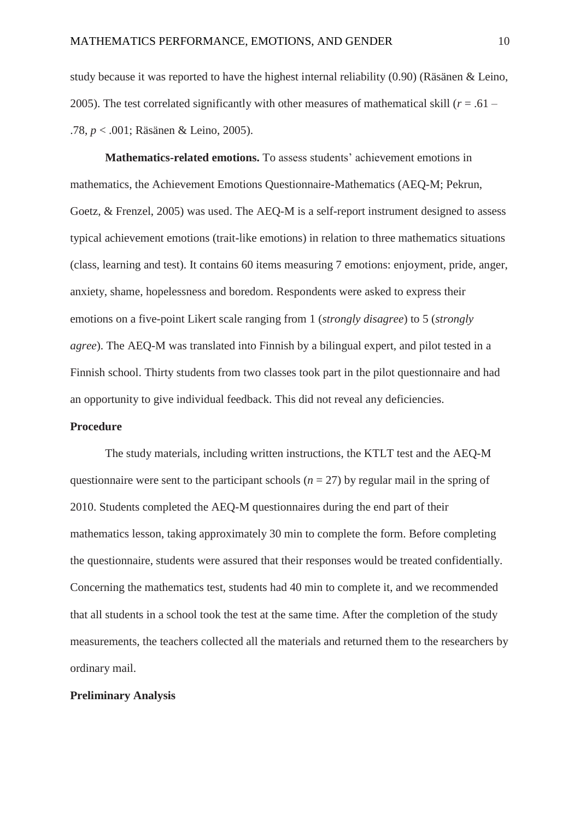study because it was reported to have the highest internal reliability (0.90) (Räsänen & Leino, 2005). The test correlated significantly with other measures of mathematical skill (*r* = .61 – .78, *p* < .001; Räsänen & Leino, 2005).

**Mathematics-related emotions.** To assess students' achievement emotions in mathematics, the Achievement Emotions Questionnaire-Mathematics (AEQ-M; Pekrun, Goetz, & Frenzel, 2005) was used. The AEQ-M is a self-report instrument designed to assess typical achievement emotions (trait-like emotions) in relation to three mathematics situations (class, learning and test). It contains 60 items measuring 7 emotions: enjoyment, pride, anger, anxiety, shame, hopelessness and boredom. Respondents were asked to express their emotions on a five-point Likert scale ranging from 1 (*strongly disagree*) to 5 (*strongly agree*). The AEQ-M was translated into Finnish by a bilingual expert, and pilot tested in a Finnish school. Thirty students from two classes took part in the pilot questionnaire and had an opportunity to give individual feedback. This did not reveal any deficiencies.

# **Procedure**

The study materials, including written instructions, the KTLT test and the AEQ-M questionnaire were sent to the participant schools ( $n = 27$ ) by regular mail in the spring of 2010. Students completed the AEQ-M questionnaires during the end part of their mathematics lesson, taking approximately 30 min to complete the form. Before completing the questionnaire, students were assured that their responses would be treated confidentially. Concerning the mathematics test, students had 40 min to complete it, and we recommended that all students in a school took the test at the same time. After the completion of the study measurements, the teachers collected all the materials and returned them to the researchers by ordinary mail.

#### **Preliminary Analysis**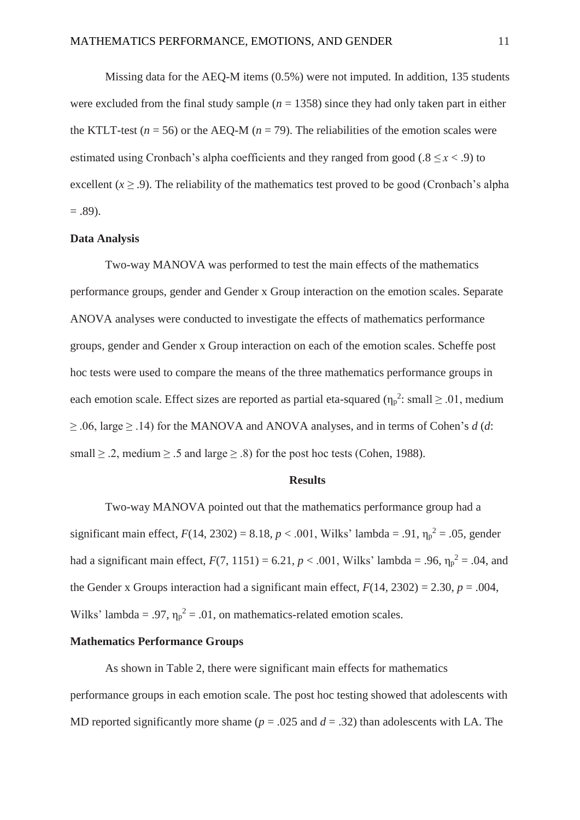Missing data for the AEQ-M items (0.5%) were not imputed. In addition, 135 students were excluded from the final study sample  $(n = 1358)$  since they had only taken part in either the KTLT-test ( $n = 56$ ) or the AEO-M ( $n = 79$ ). The reliabilities of the emotion scales were estimated using Cronbach's alpha coefficients and they ranged from good ( $.8 \le x < .9$ ) to excellent  $(x \ge 0.9)$ . The reliability of the mathematics test proved to be good (Cronbach's alpha  $= .89$ ).

## **Data Analysis**

Two-way MANOVA was performed to test the main effects of the mathematics performance groups, gender and Gender x Group interaction on the emotion scales. Separate ANOVA analyses were conducted to investigate the effects of mathematics performance groups, gender and Gender x Group interaction on each of the emotion scales. Scheffe post hoc tests were used to compare the means of the three mathematics performance groups in each emotion scale. Effect sizes are reported as partial eta-squared  $(\eta_p^2)$ : small  $\geq 0.01$ , medium  $\geq$  .06, large  $\geq$  .14) for the MANOVA and ANOVA analyses, and in terms of Cohen's *d* (*d*: small  $\ge$  .2, medium  $\ge$  .5 and large  $\ge$  .8) for the post hoc tests (Cohen, 1988).

## **Results**

Two-way MANOVA pointed out that the mathematics performance group had a significant main effect,  $F(14, 2302) = 8.18$ ,  $p < .001$ , Wilks' lambda = .91,  $\eta_p^2 = .05$ , gender had a significant main effect,  $F(7, 1151) = 6.21, p < .001$ , Wilks' lambda = .96,  $\eta_p^2 = .04$ , and the Gender x Groups interaction had a significant main effect,  $F(14, 2302) = 2.30$ ,  $p = .004$ , Wilks' lambda = .97,  $\eta_p^2$  = .01, on mathematics-related emotion scales.

#### **Mathematics Performance Groups**

As shown in Table 2, there were significant main effects for mathematics performance groups in each emotion scale. The post hoc testing showed that adolescents with MD reported significantly more shame ( $p = .025$  and  $d = .32$ ) than adolescents with LA. The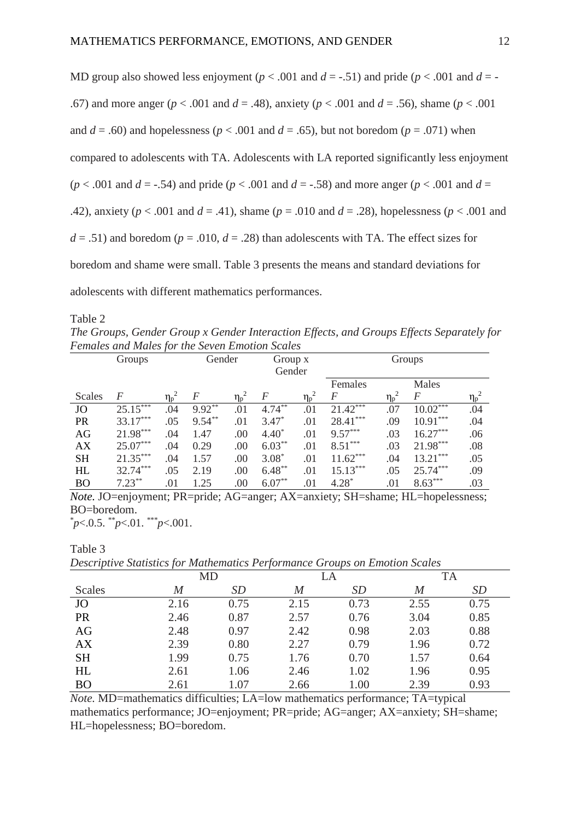MD group also showed less enjoyment ( $p < .001$  and  $d = -.51$ ) and pride ( $p < .001$  and  $d = -$ .67) and more anger (*p* < .001 and *d* = .48), anxiety (*p* < .001 and *d* = .56), shame (*p* < .001 and  $d = .60$ ) and hopelessness ( $p < .001$  and  $d = .65$ ), but not boredom ( $p = .071$ ) when compared to adolescents with TA. Adolescents with LA reported significantly less enjoyment ( $p$  < .001 and  $d$  = -.54) and pride ( $p$  < .001 and  $d$  = -.58) and more anger ( $p$  < .001 and  $d$  = .42), anxiety (*p* < .001 and *d* = .41), shame (*p* = .010 and *d* = .28), hopelessness (*p* < .001 and  $d = .51$ ) and boredom ( $p = .010$ ,  $d = .28$ ) than adolescents with TA. The effect sizes for boredom and shame were small. Table 3 presents the means and standard deviations for adolescents with different mathematics performances.

Table 2

Table 3

*The Groups, Gender Group x Gender Interaction Effects, and Groups Effects Separately for Females and Males for the Seven Emotion Scales*

| Groups    |            | Gender     |                | Group x                     |                  | Groups                      |                |                |                  |                             |
|-----------|------------|------------|----------------|-----------------------------|------------------|-----------------------------|----------------|----------------|------------------|-----------------------------|
|           |            | Gender     |                |                             |                  |                             |                |                |                  |                             |
|           |            |            |                |                             |                  |                             | Females        |                | Males            |                             |
| Scales    | F          | $\eta_p^2$ | $\overline{F}$ | $\eta_{\rm p}$ <sup>2</sup> | $\boldsymbol{F}$ | $\eta_{\rm p}$ <sup>2</sup> | $\overline{F}$ | $\eta_{p}^{2}$ | $\boldsymbol{F}$ | $\eta_{\rm p}$ <sup>2</sup> |
| <b>JO</b> | $25.15***$ | .04        | $9.92***$      | .01                         | $4.74***$        | .01                         | $21.42***$     | .07            | $10.02***$       | .04                         |
| PR        | $33.17***$ | .05        | $9.54***$      | .01                         | $3.47*$          | .01                         | $28.41***$     | .09            | $10.91***$       | .04                         |
| AG        | 21.98***   | .04        | 1.47           | .00                         | $4.40*$          | .01                         | $9.57***$      | .03            | $16.27***$       | .06                         |
| <b>AX</b> | $25.07***$ | .04        | 0.29           | .00                         | $6.03***$        | .01                         | $8.51***$      | .03            | 21.98***         | .08                         |
| <b>SH</b> | $21.35***$ | .04        | 1.57           | .00                         | $3.08*$          | .01                         | $11.62***$     | .04            | $13.21***$       | .05                         |
| HL        | $32.74***$ | .05        | 2.19           | .00                         | $6.48***$        | .01                         | $15.13***$     | .05            | $25.74***$       | .09                         |
| <b>BO</b> | $7.23**$   | .01        | 1.25           | .00                         | $6.07***$        | .01                         | $4.28*$        | .01            | $8.63***$        | .03                         |

*Note.* JO=enjoyment; PR=pride; AG=anger; AX=anxiety; SH=shame; HL=hopelessness; BO=boredom.

\* *p*<.0.5. \*\**p*<.01. \*\*\**p*<.001.

*Descriptive Statistics for Mathematics Performance Groups on Emotion Scales*

| .<br>1011<br>. |      |      |       |           |           |           |  |  |  |
|----------------|------|------|-------|-----------|-----------|-----------|--|--|--|
|                | MD   |      | LA    |           | <b>TA</b> |           |  |  |  |
| <b>Scales</b>  | M    | SD   | $\,M$ | <i>SD</i> | M         | <i>SD</i> |  |  |  |
| JO             | 2.16 | 0.75 | 2.15  | 0.73      | 2.55      | 0.75      |  |  |  |
| PR             | 2.46 | 0.87 | 2.57  | 0.76      | 3.04      | 0.85      |  |  |  |
| AG             | 2.48 | 0.97 | 2.42  | 0.98      | 2.03      | 0.88      |  |  |  |
| AX             | 2.39 | 0.80 | 2.27  | 0.79      | 1.96      | 0.72      |  |  |  |
| <b>SH</b>      | 1.99 | 0.75 | 1.76  | 0.70      | 1.57      | 0.64      |  |  |  |
| HL             | 2.61 | 1.06 | 2.46  | 1.02      | 1.96      | 0.95      |  |  |  |
| <b>BO</b>      | 2.61 | 1.07 | 2.66  | 1.00      | 2.39      | 0.93      |  |  |  |

*Note.* MD=mathematics difficulties; LA=low mathematics performance; TA=typical mathematics performance; JO=enjoyment; PR=pride; AG=anger; AX=anxiety; SH=shame; HL=hopelessness; BO=boredom.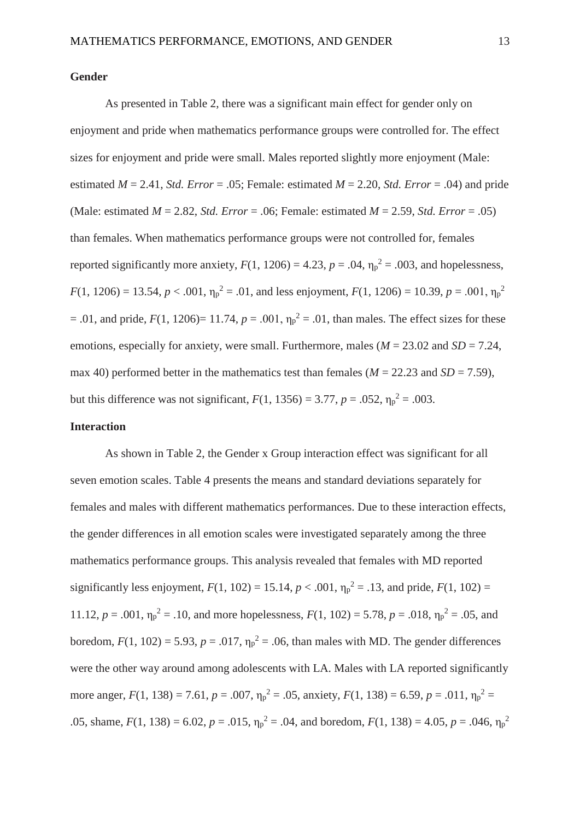## **Gender**

As presented in Table 2, there was a significant main effect for gender only on enjoyment and pride when mathematics performance groups were controlled for. The effect sizes for enjoyment and pride were small. Males reported slightly more enjoyment (Male: estimated  $M = 2.41$ , *Std. Error* = .05; Female: estimated  $M = 2.20$ , *Std. Error* = .04) and pride (Male: estimated *M* = 2.82, *Std. Error* = .06; Female: estimated *M* = 2.59, *Std. Error* = .05) than females. When mathematics performance groups were not controlled for, females reported significantly more anxiety,  $F(1, 1206) = 4.23$ ,  $p = .04$ ,  $\eta_p^2 = .003$ , and hopelessness,  $F(1, 1206) = 13.54, p < .001, \eta_p^2 = .01$ , and less enjoyment,  $F(1, 1206) = 10.39, p = .001, \eta_p^2$  $= .01$ , and pride,  $F(1, 1206) = 11.74$ ,  $p = .001$ ,  $\eta_p^2 = .01$ , than males. The effect sizes for these emotions, especially for anxiety, were small. Furthermore, males  $(M = 23.02$  and  $SD = 7.24$ , max 40) performed better in the mathematics test than females ( $M = 22.23$  and  $SD = 7.59$ ), but this difference was not significant,  $F(1, 1356) = 3.77$ ,  $p = .052$ ,  $\eta_p^2 = .003$ .

# **Interaction**

As shown in Table 2, the Gender x Group interaction effect was significant for all seven emotion scales. Table 4 presents the means and standard deviations separately for females and males with different mathematics performances. Due to these interaction effects, the gender differences in all emotion scales were investigated separately among the three mathematics performance groups. This analysis revealed that females with MD reported significantly less enjoyment,  $F(1, 102) = 15.14$ ,  $p < .001$ ,  $\eta_p^2 = .13$ , and pride,  $F(1, 102) =$ 11.12,  $p = .001$ ,  $\eta_p^2 = .10$ , and more hopelessness,  $F(1, 102) = 5.78$ ,  $p = .018$ ,  $\eta_p^2 = .05$ , and boredom,  $F(1, 102) = 5.93$ ,  $p = .017$ ,  $\eta_p^2 = .06$ , than males with MD. The gender differences were the other way around among adolescents with LA. Males with LA reported significantly more anger,  $F(1, 138) = 7.61$ ,  $p = .007$ ,  $\eta_p^2 = .05$ , anxiety,  $F(1, 138) = 6.59$ ,  $p = .011$ ,  $\eta_p^2 =$ .05, shame,  $F(1, 138) = 6.02$ ,  $p = .015$ ,  $\eta_p^2 = .04$ , and boredom,  $F(1, 138) = 4.05$ ,  $p = .046$ ,  $\eta_p^2$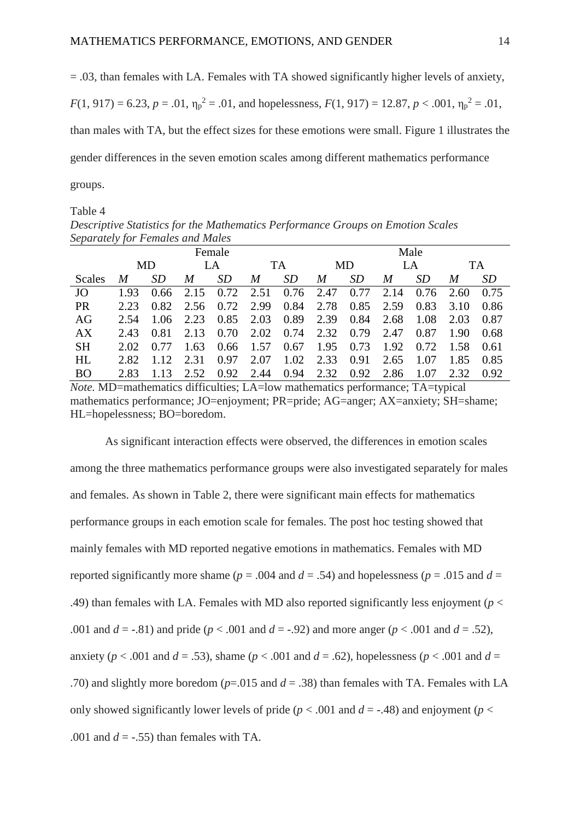$=$  0.03, than females with LA. Females with TA showed significantly higher levels of anxiety,

 $F(1, 917) = 6.23$ ,  $p = .01$ ,  $\eta_p^2 = .01$ , and hopelessness,  $F(1, 917) = 12.87$ ,  $p < .001$ ,  $\eta_p^2 = .01$ ,

than males with TA, but the effect sizes for these emotions were small. Figure 1 illustrates the

gender differences in the seven emotion scales among different mathematics performance

groups.

Table 4

*Descriptive Statistics for the Mathematics Performance Groups on Emotion Scales Separately for Females and Males*

|           | Female |           |      |           |      |      | Male |      |      |           |           |           |
|-----------|--------|-----------|------|-----------|------|------|------|------|------|-----------|-----------|-----------|
|           | MD     |           | LA   |           | TA   |      | MD   |      | LA   |           | <b>TA</b> |           |
| Scales    | M      | <i>SD</i> | M    | <i>SD</i> | M    | SD   | M    | SD   | M    | <i>SD</i> | M         | <i>SD</i> |
| JO        | 1.93   | 0.66      | 2.15 | 0.72      | 2.51 | 0.76 | 2.47 | 0.77 | 2.14 | 0.76      | 2.60      | 0.75      |
| <b>PR</b> | 2.23   | 0.82      | 2.56 | 0.72      | 2.99 | 0.84 | 2.78 | 0.85 | 2.59 | 0.83      | 3.10      | 0.86      |
| AG        | 2.54   | 1.06      | 2.23 | 0.85      | 2.03 | 0.89 | 2.39 | 0.84 | 2.68 | 1.08      | 2.03      | 0.87      |
| AX        | 2.43   | 0.81      | 2.13 | 0.70      | 2.02 | 0.74 | 2.32 | 0.79 | 2.47 | 0.87      | 1.90      | 0.68      |
| <b>SH</b> | 2.02   | 0.77      | 1.63 | 0.66      | 1.57 | 0.67 | 1.95 | 0.73 | 1.92 | 0.72      | 1.58      | 0.61      |
| <b>HL</b> | 2.82   | 1.12      | 2.31 | 0.97      | 2.07 | 1.02 | 2.33 | 0.91 | 2.65 | 1.07      | 1.85      | 0.85      |
| <b>BO</b> | 2.83   | 1.13      | 2.52 | 0.92      | 2.44 | 0.94 | 2.32 | 0.92 | 2.86 | 1.07      | 2.32      | 0.92      |

*Note.* MD=mathematics difficulties; LA=low mathematics performance; TA=typical mathematics performance; JO=enjoyment; PR=pride; AG=anger; AX=anxiety; SH=shame; HL=hopelessness; BO=boredom.

As significant interaction effects were observed, the differences in emotion scales among the three mathematics performance groups were also investigated separately for males and females. As shown in Table 2, there were significant main effects for mathematics performance groups in each emotion scale for females. The post hoc testing showed that mainly females with MD reported negative emotions in mathematics. Females with MD reported significantly more shame ( $p = .004$  and  $d = .54$ ) and hopelessness ( $p = .015$  and  $d =$ .49) than females with LA. Females with MD also reported significantly less enjoyment (*p* < .001 and  $d = -0.81$  and pride ( $p < .001$  and  $d = -0.92$ ) and more anger ( $p < .001$  and  $d = .52$ ), anxiety ( $p < .001$  and  $d = .53$ ), shame ( $p < .001$  and  $d = .62$ ), hopelessness ( $p < .001$  and  $d =$ .70) and slightly more boredom (*p*=.015 and *d* = .38) than females with TA. Females with LA only showed significantly lower levels of pride ( $p < .001$  and  $d = -.48$ ) and enjoyment ( $p <$ .001 and  $d = -0.55$  than females with TA.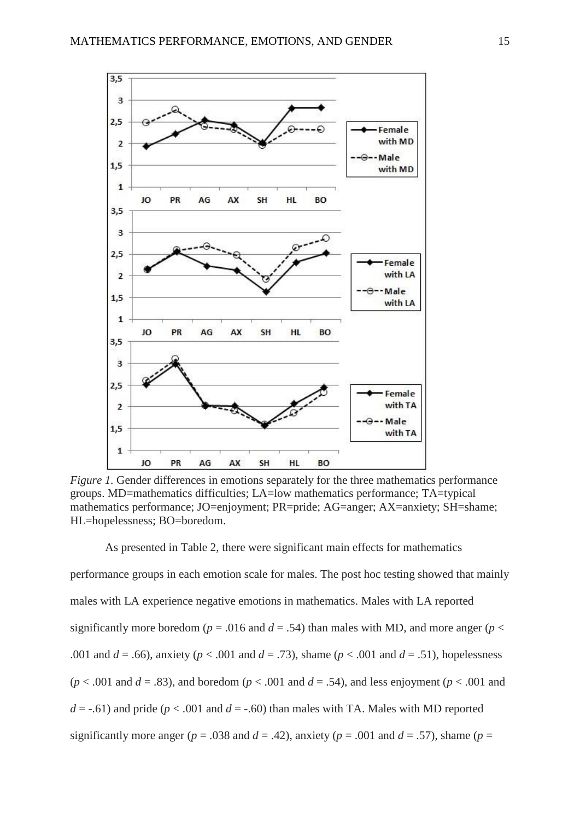

*Figure 1.* Gender differences in emotions separately for the three mathematics performance groups. MD=mathematics difficulties; LA=low mathematics performance; TA=typical mathematics performance; JO=enjoyment; PR=pride; AG=anger; AX=anxiety; SH=shame; HL=hopelessness; BO=boredom.

As presented in Table 2, there were significant main effects for mathematics performance groups in each emotion scale for males. The post hoc testing showed that mainly males with LA experience negative emotions in mathematics. Males with LA reported significantly more boredom ( $p = .016$  and  $d = .54$ ) than males with MD, and more anger ( $p <$ .001 and *d* = .66), anxiety (*p* < .001 and *d* = .73), shame (*p* < .001 and *d* = .51), hopelessness  $(p < .001$  and  $d = .83$ ), and boredom  $(p < .001$  and  $d = .54$ ), and less enjoyment  $(p < .001$  and  $d = -0.61$ ) and pride ( $p < 0.001$  and  $d = -0.60$ ) than males with TA. Males with MD reported significantly more anger ( $p = .038$  and  $d = .42$ ), anxiety ( $p = .001$  and  $d = .57$ ), shame ( $p =$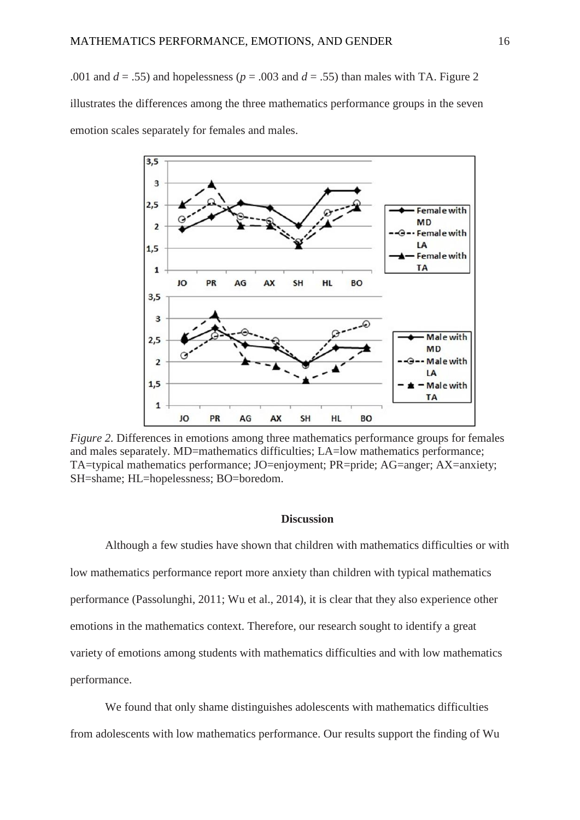.001 and  $d = .55$ ) and hopelessness ( $p = .003$  and  $d = .55$ ) than males with TA. Figure 2 illustrates the differences among the three mathematics performance groups in the seven emotion scales separately for females and males.



*Figure 2.* Differences in emotions among three mathematics performance groups for females and males separately. MD=mathematics difficulties; LA=low mathematics performance; TA=typical mathematics performance; JO=enjoyment; PR=pride; AG=anger; AX=anxiety; SH=shame; HL=hopelessness; BO=boredom.

## **Discussion**

Although a few studies have shown that children with mathematics difficulties or with low mathematics performance report more anxiety than children with typical mathematics performance (Passolunghi, 2011; Wu et al., 2014), it is clear that they also experience other emotions in the mathematics context. Therefore, our research sought to identify a great variety of emotions among students with mathematics difficulties and with low mathematics performance.

We found that only shame distinguishes adolescents with mathematics difficulties from adolescents with low mathematics performance. Our results support the finding of Wu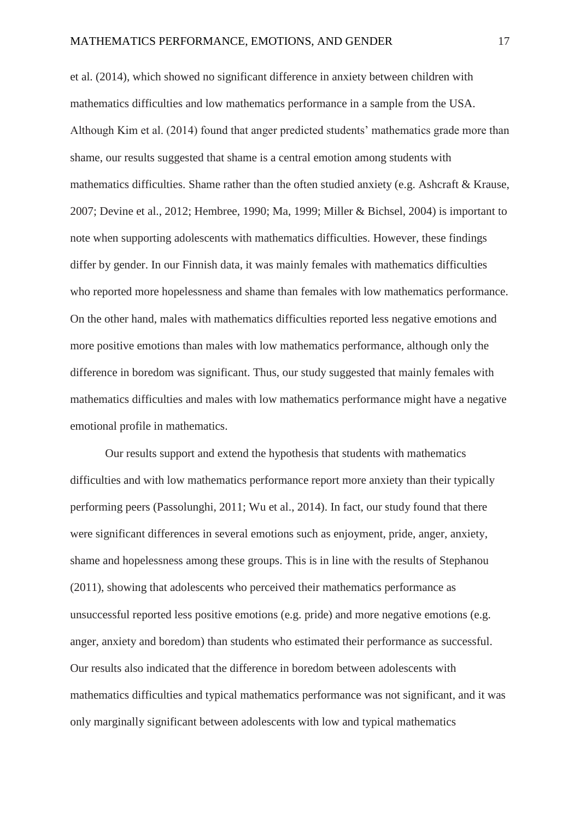et al. (2014), which showed no significant difference in anxiety between children with mathematics difficulties and low mathematics performance in a sample from the USA. Although Kim et al. (2014) found that anger predicted students' mathematics grade more than shame, our results suggested that shame is a central emotion among students with mathematics difficulties. Shame rather than the often studied anxiety (e.g. Ashcraft & Krause, 2007; Devine et al., 2012; Hembree, 1990; Ma, 1999; Miller & Bichsel, 2004) is important to note when supporting adolescents with mathematics difficulties. However, these findings differ by gender. In our Finnish data, it was mainly females with mathematics difficulties who reported more hopelessness and shame than females with low mathematics performance. On the other hand, males with mathematics difficulties reported less negative emotions and more positive emotions than males with low mathematics performance, although only the difference in boredom was significant. Thus, our study suggested that mainly females with mathematics difficulties and males with low mathematics performance might have a negative emotional profile in mathematics.

Our results support and extend the hypothesis that students with mathematics difficulties and with low mathematics performance report more anxiety than their typically performing peers (Passolunghi, 2011; Wu et al., 2014). In fact, our study found that there were significant differences in several emotions such as enjoyment, pride, anger, anxiety, shame and hopelessness among these groups. This is in line with the results of Stephanou (2011), showing that adolescents who perceived their mathematics performance as unsuccessful reported less positive emotions (e.g. pride) and more negative emotions (e.g. anger, anxiety and boredom) than students who estimated their performance as successful. Our results also indicated that the difference in boredom between adolescents with mathematics difficulties and typical mathematics performance was not significant, and it was only marginally significant between adolescents with low and typical mathematics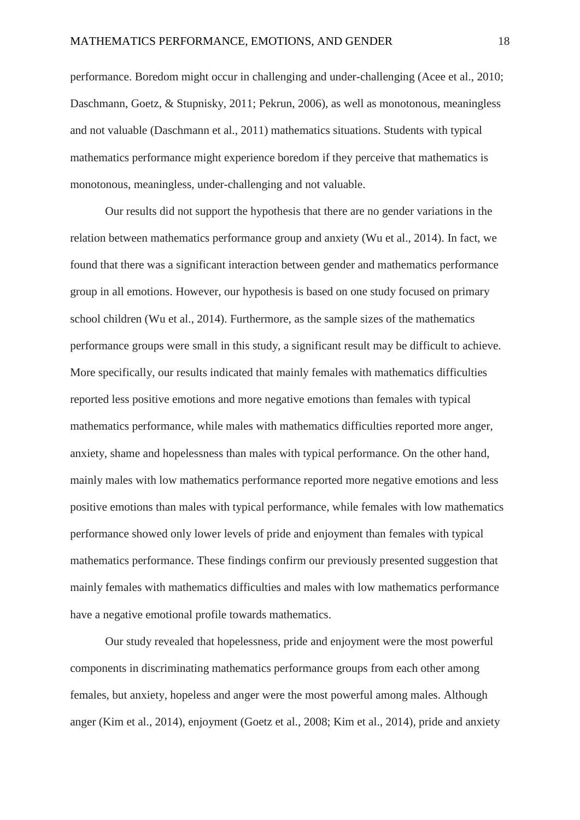performance. Boredom might occur in challenging and under-challenging (Acee et al., 2010; Daschmann, Goetz, & Stupnisky, 2011; Pekrun, 2006), as well as monotonous, meaningless and not valuable (Daschmann et al., 2011) mathematics situations. Students with typical mathematics performance might experience boredom if they perceive that mathematics is monotonous, meaningless, under-challenging and not valuable.

Our results did not support the hypothesis that there are no gender variations in the relation between mathematics performance group and anxiety (Wu et al., 2014). In fact, we found that there was a significant interaction between gender and mathematics performance group in all emotions. However, our hypothesis is based on one study focused on primary school children (Wu et al., 2014). Furthermore, as the sample sizes of the mathematics performance groups were small in this study, a significant result may be difficult to achieve. More specifically, our results indicated that mainly females with mathematics difficulties reported less positive emotions and more negative emotions than females with typical mathematics performance, while males with mathematics difficulties reported more anger, anxiety, shame and hopelessness than males with typical performance. On the other hand, mainly males with low mathematics performance reported more negative emotions and less positive emotions than males with typical performance, while females with low mathematics performance showed only lower levels of pride and enjoyment than females with typical mathematics performance. These findings confirm our previously presented suggestion that mainly females with mathematics difficulties and males with low mathematics performance have a negative emotional profile towards mathematics.

Our study revealed that hopelessness, pride and enjoyment were the most powerful components in discriminating mathematics performance groups from each other among females, but anxiety, hopeless and anger were the most powerful among males. Although anger (Kim et al., 2014), enjoyment (Goetz et al., 2008; Kim et al., 2014), pride and anxiety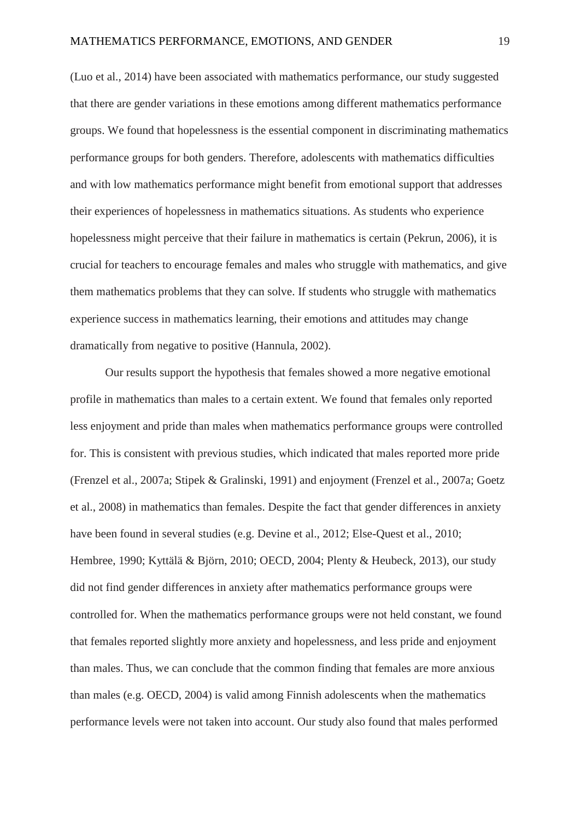(Luo et al., 2014) have been associated with mathematics performance, our study suggested that there are gender variations in these emotions among different mathematics performance groups. We found that hopelessness is the essential component in discriminating mathematics performance groups for both genders. Therefore, adolescents with mathematics difficulties and with low mathematics performance might benefit from emotional support that addresses their experiences of hopelessness in mathematics situations. As students who experience hopelessness might perceive that their failure in mathematics is certain (Pekrun, 2006), it is crucial for teachers to encourage females and males who struggle with mathematics, and give them mathematics problems that they can solve. If students who struggle with mathematics experience success in mathematics learning, their emotions and attitudes may change dramatically from negative to positive (Hannula, 2002).

Our results support the hypothesis that females showed a more negative emotional profile in mathematics than males to a certain extent. We found that females only reported less enjoyment and pride than males when mathematics performance groups were controlled for. This is consistent with previous studies, which indicated that males reported more pride (Frenzel et al., 2007a; Stipek & Gralinski, 1991) and enjoyment (Frenzel et al., 2007a; Goetz et al., 2008) in mathematics than females. Despite the fact that gender differences in anxiety have been found in several studies (e.g. Devine et al., 2012; Else-Quest et al., 2010; Hembree, 1990; Kyttälä & Björn, 2010; OECD, 2004; Plenty & Heubeck, 2013), our study did not find gender differences in anxiety after mathematics performance groups were controlled for. When the mathematics performance groups were not held constant, we found that females reported slightly more anxiety and hopelessness, and less pride and enjoyment than males. Thus, we can conclude that the common finding that females are more anxious than males (e.g. OECD, 2004) is valid among Finnish adolescents when the mathematics performance levels were not taken into account. Our study also found that males performed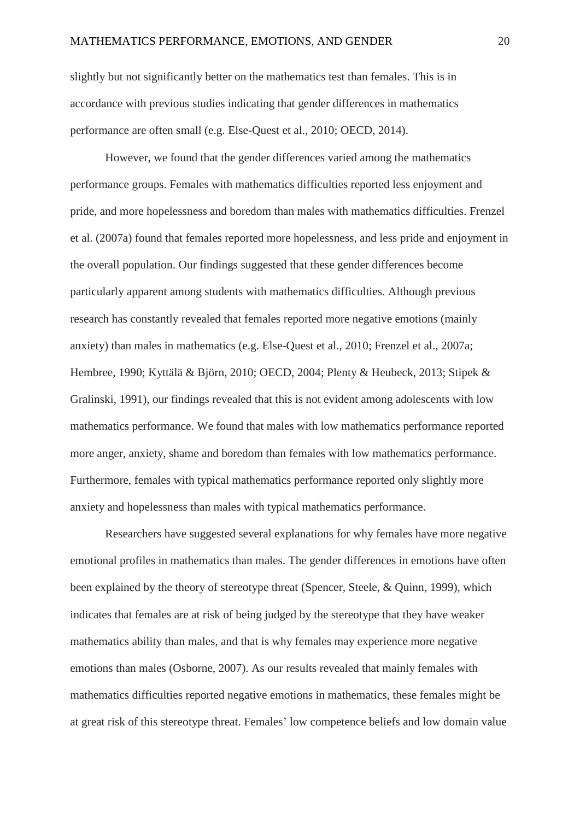slightly but not significantly better on the mathematics test than females. This is in accordance with previous studies indicating that gender differences in mathematics performance are often small (e.g. Else-Quest et al., 2010; OECD, 2014).

However, we found that the gender differences varied among the mathematics performance groups. Females with mathematics difficulties reported less enjoyment and pride, and more hopelessness and boredom than males with mathematics difficulties. Frenzel et al. (2007a) found that females reported more hopelessness, and less pride and enjoyment in the overall population. Our findings suggested that these gender differences become particularly apparent among students with mathematics difficulties. Although previous research has constantly revealed that females reported more negative emotions (mainly anxiety) than males in mathematics (e.g. Else-Quest et al., 2010; Frenzel et al., 2007a; Hembree, 1990; Kyttälä & Björn, 2010; OECD, 2004; Plenty & Heubeck, 2013; Stipek & Gralinski, 1991), our findings revealed that this is not evident among adolescents with low mathematics performance. We found that males with low mathematics performance reported more anger, anxiety, shame and boredom than females with low mathematics performance. Furthermore, females with typical mathematics performance reported only slightly more anxiety and hopelessness than males with typical mathematics performance.

Researchers have suggested several explanations for why females have more negative emotional profiles in mathematics than males. The gender differences in emotions have often been explained by the theory of stereotype threat (Spencer, Steele, & Quinn, 1999), which indicates that females are at risk of being judged by the stereotype that they have weaker mathematics ability than males, and that is why females may experience more negative emotions than males (Osborne, 2007). As our results revealed that mainly females with mathematics difficulties reported negative emotions in mathematics, these females might be at great risk of this stereotype threat. Females' low competence beliefs and low domain value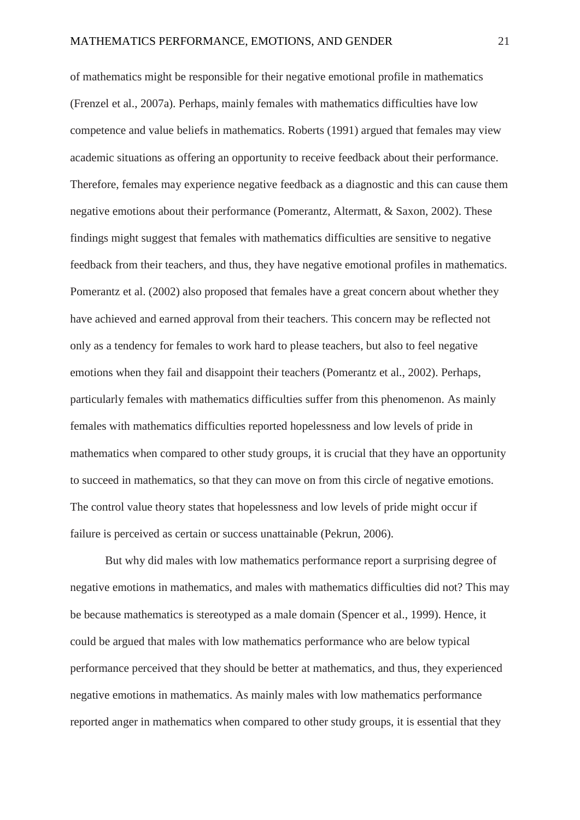of mathematics might be responsible for their negative emotional profile in mathematics (Frenzel et al., 2007a). Perhaps, mainly females with mathematics difficulties have low competence and value beliefs in mathematics. Roberts (1991) argued that females may view academic situations as offering an opportunity to receive feedback about their performance. Therefore, females may experience negative feedback as a diagnostic and this can cause them negative emotions about their performance (Pomerantz, Altermatt, & Saxon, 2002). These findings might suggest that females with mathematics difficulties are sensitive to negative feedback from their teachers, and thus, they have negative emotional profiles in mathematics. Pomerantz et al. (2002) also proposed that females have a great concern about whether they have achieved and earned approval from their teachers. This concern may be reflected not only as a tendency for females to work hard to please teachers, but also to feel negative emotions when they fail and disappoint their teachers (Pomerantz et al., 2002). Perhaps, particularly females with mathematics difficulties suffer from this phenomenon. As mainly females with mathematics difficulties reported hopelessness and low levels of pride in mathematics when compared to other study groups, it is crucial that they have an opportunity to succeed in mathematics, so that they can move on from this circle of negative emotions. The control value theory states that hopelessness and low levels of pride might occur if failure is perceived as certain or success unattainable (Pekrun, 2006).

But why did males with low mathematics performance report a surprising degree of negative emotions in mathematics, and males with mathematics difficulties did not? This may be because mathematics is stereotyped as a male domain (Spencer et al., 1999). Hence, it could be argued that males with low mathematics performance who are below typical performance perceived that they should be better at mathematics, and thus, they experienced negative emotions in mathematics. As mainly males with low mathematics performance reported anger in mathematics when compared to other study groups, it is essential that they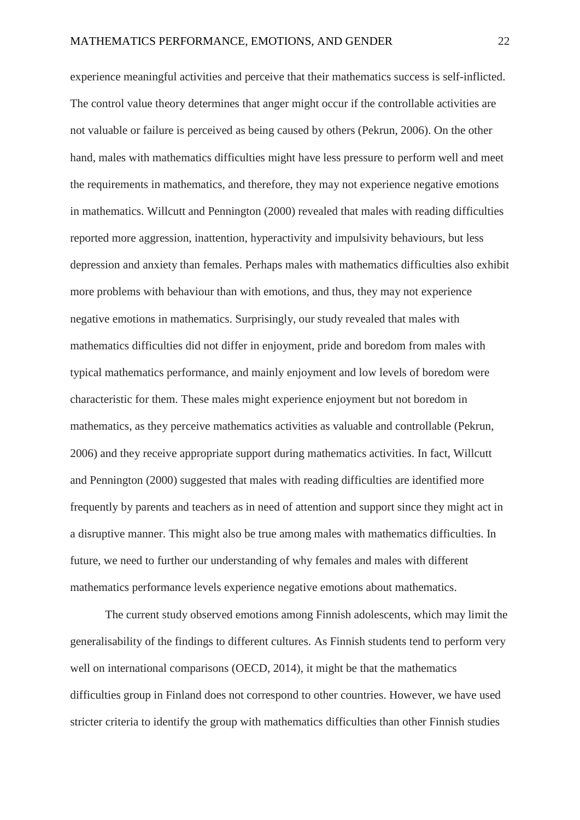experience meaningful activities and perceive that their mathematics success is self-inflicted. The control value theory determines that anger might occur if the controllable activities are not valuable or failure is perceived as being caused by others (Pekrun, 2006). On the other hand, males with mathematics difficulties might have less pressure to perform well and meet the requirements in mathematics, and therefore, they may not experience negative emotions in mathematics. Willcutt and Pennington (2000) revealed that males with reading difficulties reported more aggression, inattention, hyperactivity and impulsivity behaviours, but less depression and anxiety than females. Perhaps males with mathematics difficulties also exhibit more problems with behaviour than with emotions, and thus, they may not experience negative emotions in mathematics. Surprisingly, our study revealed that males with mathematics difficulties did not differ in enjoyment, pride and boredom from males with typical mathematics performance, and mainly enjoyment and low levels of boredom were characteristic for them. These males might experience enjoyment but not boredom in mathematics, as they perceive mathematics activities as valuable and controllable (Pekrun, 2006) and they receive appropriate support during mathematics activities. In fact, Willcutt and Pennington (2000) suggested that males with reading difficulties are identified more frequently by parents and teachers as in need of attention and support since they might act in a disruptive manner. This might also be true among males with mathematics difficulties. In future, we need to further our understanding of why females and males with different mathematics performance levels experience negative emotions about mathematics.

The current study observed emotions among Finnish adolescents, which may limit the generalisability of the findings to different cultures. As Finnish students tend to perform very well on international comparisons (OECD, 2014), it might be that the mathematics difficulties group in Finland does not correspond to other countries. However, we have used stricter criteria to identify the group with mathematics difficulties than other Finnish studies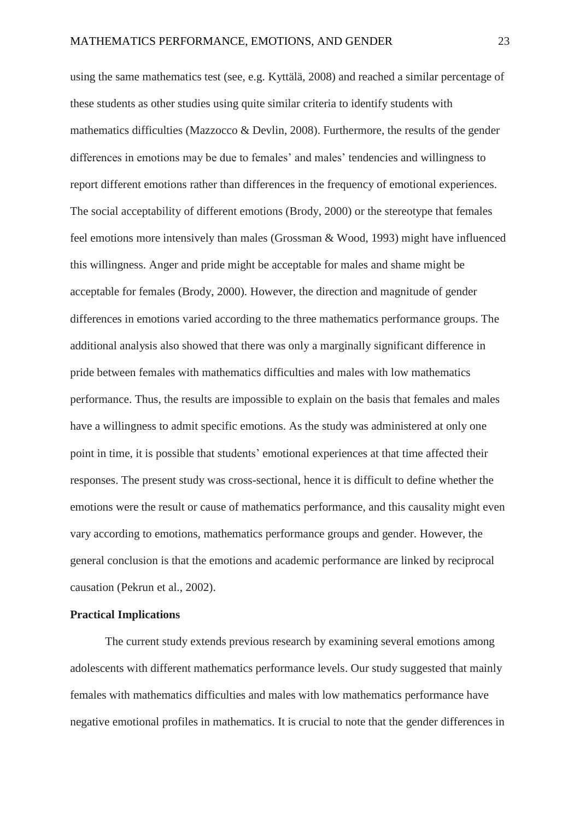using the same mathematics test (see, e.g. Kyttälä, 2008) and reached a similar percentage of these students as other studies using quite similar criteria to identify students with mathematics difficulties (Mazzocco & Devlin, 2008). Furthermore, the results of the gender differences in emotions may be due to females' and males' tendencies and willingness to report different emotions rather than differences in the frequency of emotional experiences. The social acceptability of different emotions (Brody, 2000) or the stereotype that females feel emotions more intensively than males (Grossman & Wood, 1993) might have influenced this willingness. Anger and pride might be acceptable for males and shame might be acceptable for females (Brody, 2000). However, the direction and magnitude of gender differences in emotions varied according to the three mathematics performance groups. The additional analysis also showed that there was only a marginally significant difference in pride between females with mathematics difficulties and males with low mathematics performance. Thus, the results are impossible to explain on the basis that females and males have a willingness to admit specific emotions. As the study was administered at only one point in time, it is possible that students' emotional experiences at that time affected their responses. The present study was cross-sectional, hence it is difficult to define whether the emotions were the result or cause of mathematics performance, and this causality might even vary according to emotions, mathematics performance groups and gender. However, the general conclusion is that the emotions and academic performance are linked by reciprocal causation (Pekrun et al., 2002).

# **Practical Implications**

The current study extends previous research by examining several emotions among adolescents with different mathematics performance levels. Our study suggested that mainly females with mathematics difficulties and males with low mathematics performance have negative emotional profiles in mathematics. It is crucial to note that the gender differences in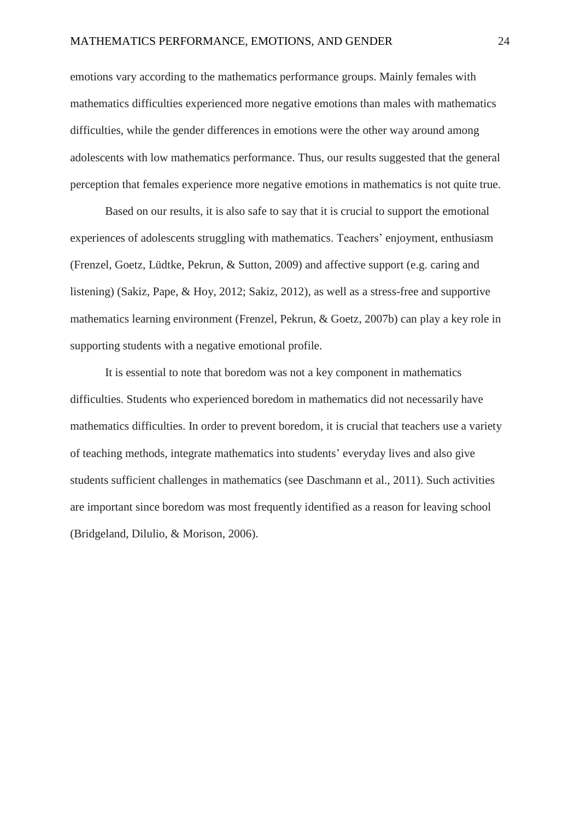emotions vary according to the mathematics performance groups. Mainly females with mathematics difficulties experienced more negative emotions than males with mathematics difficulties, while the gender differences in emotions were the other way around among adolescents with low mathematics performance. Thus, our results suggested that the general perception that females experience more negative emotions in mathematics is not quite true.

Based on our results, it is also safe to say that it is crucial to support the emotional experiences of adolescents struggling with mathematics. Teachers' enjoyment, enthusiasm (Frenzel, Goetz, Lüdtke, Pekrun, & Sutton, 2009) and affective support (e.g. caring and listening) (Sakiz, Pape, & Hoy, 2012; Sakiz, 2012), as well as a stress-free and supportive mathematics learning environment (Frenzel, Pekrun, & Goetz, 2007b) can play a key role in supporting students with a negative emotional profile.

It is essential to note that boredom was not a key component in mathematics difficulties. Students who experienced boredom in mathematics did not necessarily have mathematics difficulties. In order to prevent boredom, it is crucial that teachers use a variety of teaching methods, integrate mathematics into students' everyday lives and also give students sufficient challenges in mathematics (see Daschmann et al., 2011). Such activities are important since boredom was most frequently identified as a reason for leaving school (Bridgeland, Dilulio, & Morison, 2006).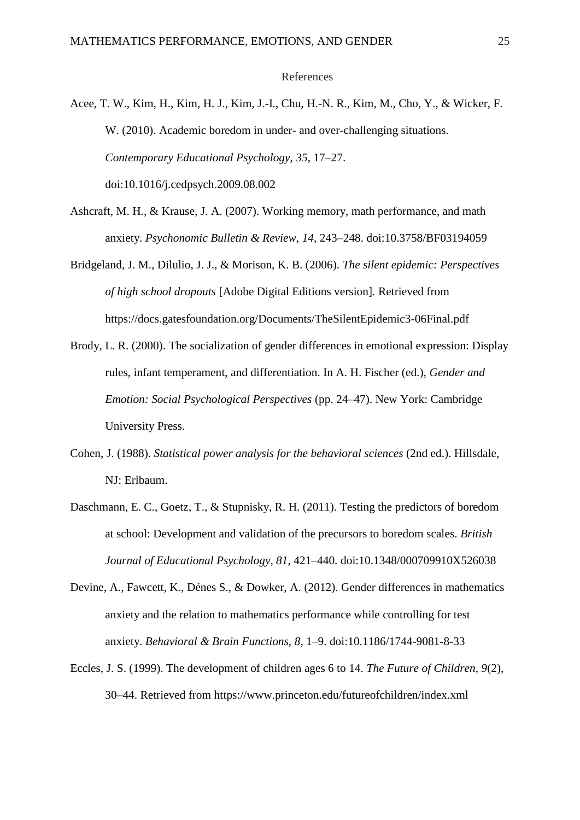#### References

Acee, T. W., Kim, H., Kim, H. J., Kim, J.-I., Chu, H.-N. R., Kim, M., Cho, Y., & Wicker, F. W. (2010). Academic boredom in under- and over-challenging situations. *Contemporary Educational Psychology, 35*, 17–27. doi:10.1016/j.cedpsych.2009.08.002

- Ashcraft, M. H., & Krause, J. A. (2007). Working memory, math performance, and math anxiety. *Psychonomic Bulletin & Review, 14*, 243–248. doi:10.3758/BF03194059
- Bridgeland, J. M., Dilulio, J. J., & Morison, K. B. (2006). *The silent epidemic: Perspectives of high school dropouts* [Adobe Digital Editions version]*.* Retrieved from https://docs.gatesfoundation.org/Documents/TheSilentEpidemic3-06Final.pdf
- Brody, L. R. (2000). The socialization of gender differences in emotional expression: Display rules, infant temperament, and differentiation. In A. H. Fischer (ed.), *Gender and Emotion: Social Psychological Perspectives* (pp. 24–47). New York: Cambridge University Press.
- Cohen, J. (1988). *Statistical power analysis for the behavioral sciences* (2nd ed.). Hillsdale, NJ: Erlbaum.
- Daschmann, E. C., Goetz, T., & Stupnisky, R. H. (2011). Testing the predictors of boredom at school: Development and validation of the precursors to boredom scales. *British Journal of Educational Psychology, 81*, 421–440. doi:10.1348/000709910X526038
- Devine, A., Fawcett, K., Dénes S., & Dowker, A. (2012). Gender differences in mathematics anxiety and the relation to mathematics performance while controlling for test anxiety. *Behavioral & Brain Functions, 8*, 1–9. doi:10.1186/1744-9081-8-33
- Eccles, J. S. (1999). The development of children ages 6 to 14. *The Future of Children, 9*(2), 30–44. Retrieved from https://www.princeton.edu/futureofchildren/index.xml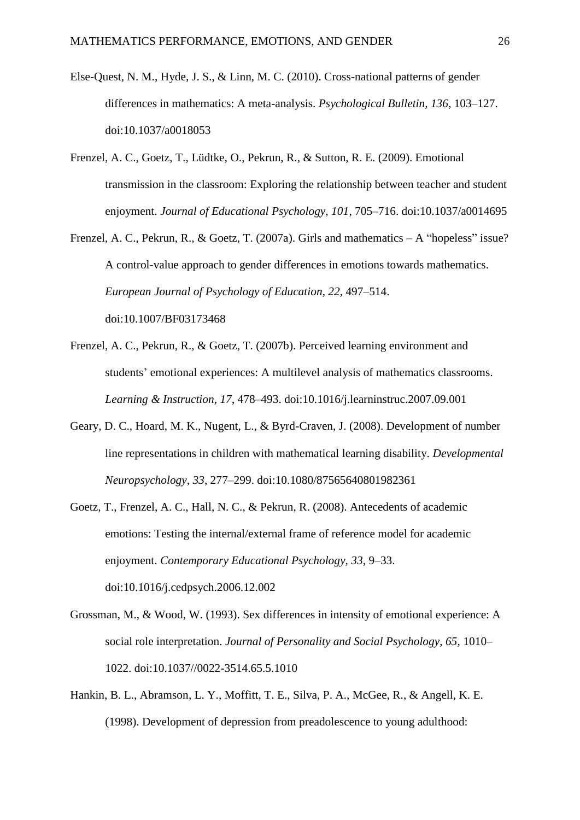- Else-Quest, N. M., Hyde, J. S., & Linn, M. C. (2010). Cross-national patterns of gender differences in mathematics: A meta-analysis. *Psychological Bulletin, 136*, 103–127. doi:10.1037/a0018053
- Frenzel, A. C., Goetz, T., Lüdtke, O., Pekrun, R., & Sutton, R. E. (2009). Emotional transmission in the classroom: Exploring the relationship between teacher and student enjoyment. *Journal of Educational Psychology, 101*, 705–716. doi:10.1037/a0014695
- Frenzel, A. C., Pekrun, R., & Goetz, T. (2007a). Girls and mathematics A "hopeless" issue? A control-value approach to gender differences in emotions towards mathematics. *European Journal of Psychology of Education, 22*, 497–514. doi:10.1007/BF03173468
- Frenzel, A. C., Pekrun, R., & Goetz, T. (2007b). Perceived learning environment and students' emotional experiences: A multilevel analysis of mathematics classrooms. *Learning & Instruction, 17*, 478–493. doi:10.1016/j.learninstruc.2007.09.001
- Geary, D. C., Hoard, M. K., Nugent, L., & Byrd-Craven, J. (2008). Development of number line representations in children with mathematical learning disability. *Developmental Neuropsychology, 33*, 277–299. doi:10.1080/87565640801982361
- Goetz, T., Frenzel, A. C., Hall, N. C., & Pekrun, R. (2008). Antecedents of academic emotions: Testing the internal/external frame of reference model for academic enjoyment. *Contemporary Educational Psychology, 33*, 9–33. doi:10.1016/j.cedpsych.2006.12.002
- Grossman, M., & Wood, W. (1993). Sex differences in intensity of emotional experience: A social role interpretation. *Journal of Personality and Social Psychology, 65,* 1010– 1022. doi:10.1037//0022-3514.65.5.1010
- Hankin, B. L., Abramson, L. Y., Moffitt, T. E., Silva, P. A., McGee, R., & Angell, K. E. (1998). Development of depression from preadolescence to young adulthood: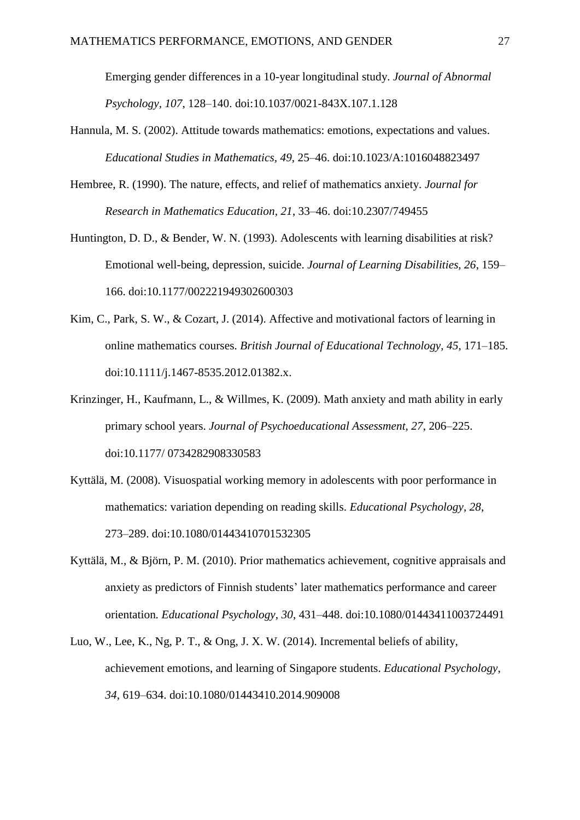Emerging gender differences in a 10-year longitudinal study. *Journal of Abnormal Psychology, 107*, 128–140. doi:10.1037/0021-843X.107.1.128

- Hannula, M. S. (2002). Attitude towards mathematics: emotions, expectations and values. *Educational Studies in Mathematics, 49*, 25–46. doi:10.1023/A:1016048823497
- Hembree, R. (1990). The nature, effects, and relief of mathematics anxiety. *Journal for Research in Mathematics Education, 21*, 33–46. doi:10.2307/749455
- Huntington, D. D., & Bender, W. N. (1993). Adolescents with learning disabilities at risk? Emotional well-being, depression, suicide. *Journal of Learning Disabilities, 26*, 159– 166. doi:10.1177/002221949302600303
- Kim, C., Park, S. W., & Cozart, J. (2014). Affective and motivational factors of learning in online mathematics courses. *British Journal of Educational Technology, 45*, 171–185. doi:10.1111/j.1467-8535.2012.01382.x.
- Krinzinger, H., Kaufmann, L., & Willmes, K. (2009). Math anxiety and math ability in early primary school years. *Journal of Psychoeducational Assessment, 27*, 206–225. doi:10.1177/ 0734282908330583
- Kyttälä, M. (2008). Visuospatial working memory in adolescents with poor performance in mathematics: variation depending on reading skills. *Educational Psychology, 28*, 273–289. doi:10.1080/01443410701532305
- Kyttälä, M., & Björn, P. M. (2010). Prior mathematics achievement, cognitive appraisals and anxiety as predictors of Finnish students' later mathematics performance and career orientation*. Educational Psychology, 30*, 431–448. doi:10.1080/01443411003724491
- Luo, W., Lee, K., Ng, P. T., & Ong, J. X. W. (2014). Incremental beliefs of ability, achievement emotions, and learning of Singapore students. *Educational Psychology, 34*, 619–634. doi:10.1080/01443410.2014.909008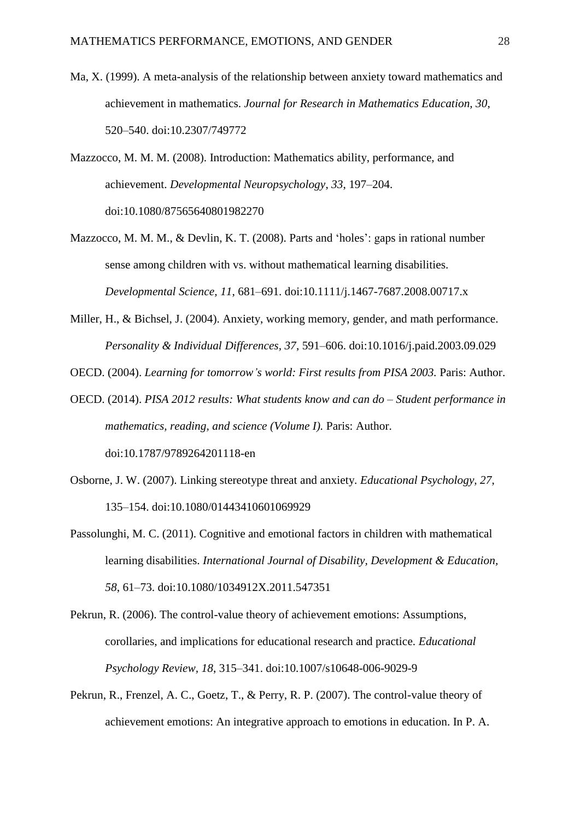Ma, X. (1999). A meta-analysis of the relationship between anxiety toward mathematics and achievement in mathematics. *Journal for Research in Mathematics Education, 30*, 520–540. doi:10.2307/749772

Mazzocco, M. M. M. (2008). Introduction: Mathematics ability, performance, and achievement. *Developmental Neuropsychology*, *33*, 197–204. doi:10.1080/87565640801982270

- Mazzocco, M. M. M., & Devlin, K. T. (2008). Parts and 'holes': gaps in rational number sense among children with vs. without mathematical learning disabilities. *Developmental Science, 11*, 681–691. doi:10.1111/j.1467-7687.2008.00717.x
- Miller, H., & Bichsel, J. (2004). Anxiety, working memory, gender, and math performance. *Personality & Individual Differences, 37*, 591–606. doi:10.1016/j.paid.2003.09.029

OECD. (2004). *Learning for tomorrow's world: First results from PISA 2003.* Paris: Author.

- OECD. (2014). *PISA 2012 results: What students know and can do – Student performance in mathematics, reading, and science (Volume I).* Paris: Author. doi:10.1787/9789264201118-en
- Osborne, J. W. (2007). Linking stereotype threat and anxiety. *Educational Psychology, 27*, 135–154. doi:10.1080/01443410601069929
- Passolunghi, M. C. (2011). Cognitive and emotional factors in children with mathematical learning disabilities. *International Journal of Disability, Development & Education, 58*, 61–73. doi:10.1080/1034912X.2011.547351
- Pekrun, R. (2006). The control-value theory of achievement emotions: Assumptions, corollaries, and implications for educational research and practice. *Educational Psychology Review, 18*, 315–341. doi:10.1007/s10648-006-9029-9
- Pekrun, R., Frenzel, A. C., Goetz, T., & Perry, R. P. (2007). The control-value theory of achievement emotions: An integrative approach to emotions in education. In P. A.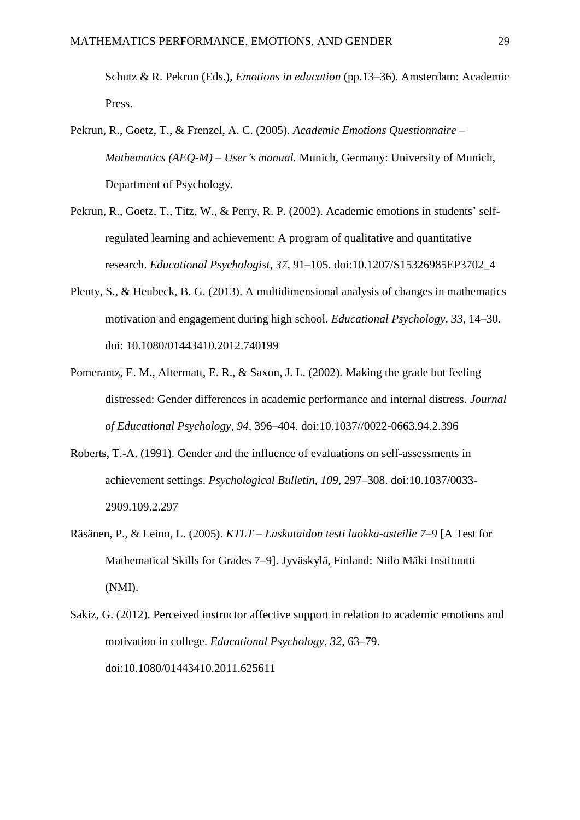Schutz & R. Pekrun (Eds.), *Emotions in education* (pp.13–36). Amsterdam: Academic Press.

- Pekrun, R., Goetz, T., & Frenzel, A. C. (2005). *Academic Emotions Questionnaire – Mathematics (AEQ-M) – User's manual.* Munich, Germany: University of Munich, Department of Psychology.
- Pekrun, R., Goetz, T., Titz, W., & Perry, R. P. (2002). Academic emotions in students' selfregulated learning and achievement: A program of qualitative and quantitative research. *Educational Psychologist, 37*, 91–105. doi:10.1207/S15326985EP3702\_4
- Plenty, S., & Heubeck, B. G. (2013). A multidimensional analysis of changes in mathematics motivation and engagement during high school. *Educational Psychology, 33*, 14–30. doi: 10.1080/01443410.2012.740199
- Pomerantz, E. M., Altermatt, E. R., & Saxon, J. L. (2002). Making the grade but feeling distressed: Gender differences in academic performance and internal distress. *Journal of Educational Psychology, 94,* 396–404. doi:10.1037//0022-0663.94.2.396
- Roberts, T.-A. (1991). Gender and the influence of evaluations on self-assessments in achievement settings. *Psychological Bulletin, 109*, 297–308. doi:10.1037/0033- 2909.109.2.297
- Räsänen, P., & Leino, L. (2005). *KTLT – Laskutaidon testi luokka-asteille 7–9* [A Test for Mathematical Skills for Grades 7–9]. Jyväskylä, Finland: Niilo Mäki Instituutti (NMI).
- Sakiz, G. (2012). Perceived instructor affective support in relation to academic emotions and motivation in college. *Educational Psychology, 32*, 63–79. doi:10.1080/01443410.2011.625611